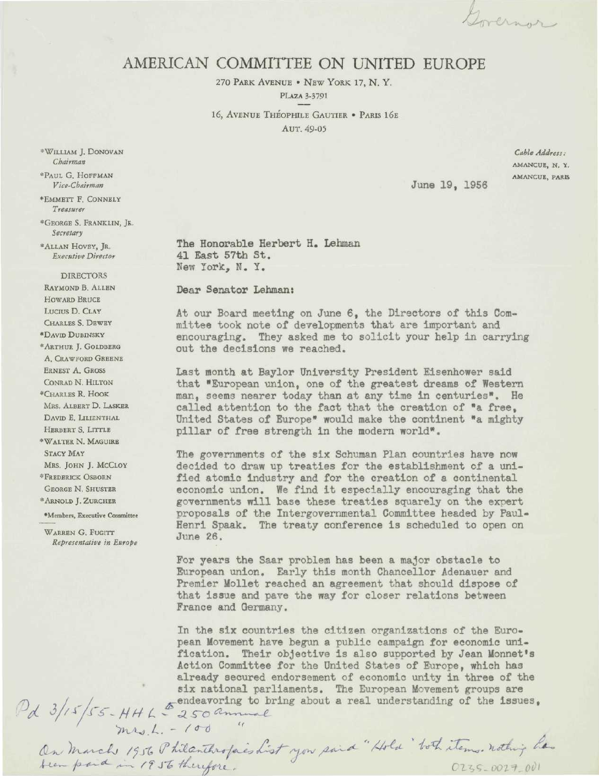Governor

## AMERICAN COMMITTEE ON UNITED EUROPE

270 PARK AVENUE • NEW YORK 17, N. Y, PLAZA 3-3791

16, AVENUE THEOPHILE GAUTIER • PARIS I6E AUT. 49-05

*Cable Address:* **AMANCUE, N. Y. AMANCUE, PARK**

June 19, 1956

The Honorable Herbert H. Lehman 41 East 57th St. New York, N. Y.

Dear Senator Lehman:

At our Board meeting on June 6, the Directors of this Committee took note of developments that are important and encouraging. They asked me to solicit your help in carrying out the decisions we reached.

Last month at Baylor University President Eisenhower said that "European union, one of the greatest dreams of Western man, seems nearer today than at any time in centuries". He called attention to the fact that the creation of "a free, United States of Europe" would make the continent "a mighty pillar of free strength in the modern world".

The governments of the six Schuman Plan countries have now decided to draw up treaties for the establishment of a unified atomic Industry and for the creation of a continental economic union. We find it especially encouraging that the governments will base these treaties squarely on the expert proposals of the Intergovernmental Committee headed by Paul-Henri Spaak. The treaty conference is scheduled to open on June 26.

For years the Saar problem has been a major obstacle to European union. Early this month Chancellor Adenauer and Premier Mollet reached an agreement that should dispose of that issue and pave the way for closer relations between France and Germany.

In the six countries the citizen organizations of the European Movement have begun a public campaign for economic unification. Their objective is also supported by Jean Monnet's Action Committee for the United States of Europe, which has already secured endorsement of economic unity in three of the six national parliaments. The European Movement groups are  $P_{d}$  3/15/55-HHL  $\frac{250}{250}$  annual a real understanding of the issues,<br>my.1. - 100

\* WILLIAM J. DONOVAN *Chairman*

\*PAUL G. HOFFMAN *Vice-Chairman*

\*EMMETT F. CONNELY *Treasurer*

\* GEORGE S. FRANKLIN, JR. *Secretary*

\*ALLAN HOVEY, JR. *Executive Director*

**DIRECTORS** RAYMOND B. ALLEN HOWARD BRUCE LUCIUS D. CLAY CHARLES S. DEWEY

•DAVID DUBINSKY

\* ARTHUR J. GOLDBERG A. CRAWFORD GREENE ERNEST A. GROSS CONRAD N. HILTON

\* CHARLES R. HOOK MRS. ALBERT D. LASKER DAVID E. LILIENTHAL HERBERT S. LITTLE

\* WALTER N. MAGUIRE STACY MAY MRS. JOHN J. MCCLOY

\* FREDERICK OSBORN GEORGE N. SHUSTER \* ARNOLD J. ZURCHER

•Members, Executive Committee

WARREN G. FUGITT *Representative in Europe*

On March 1956 Philanthropies List you said "Hold ' both items. nothing has  $0235 - 0027 - 001$